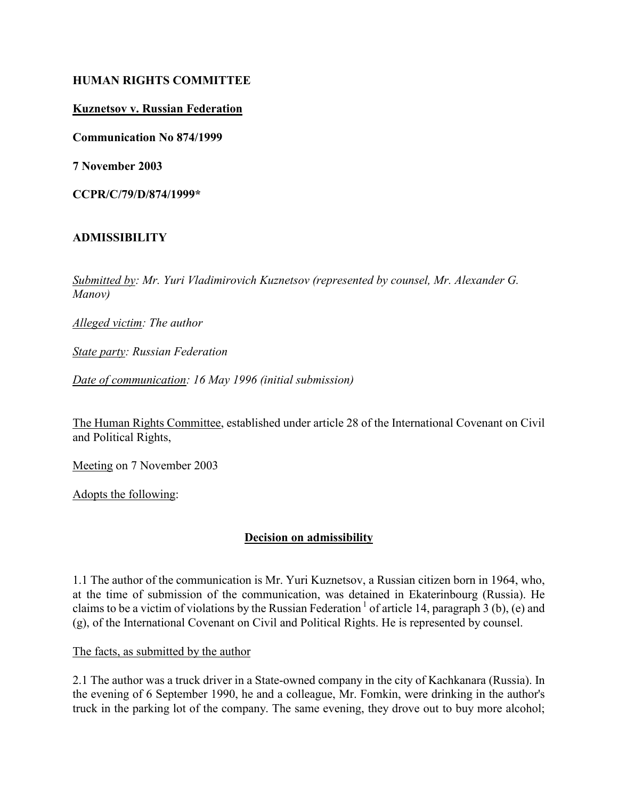## HUMAN RIGHTS COMMITTEE

## Kuznetsov v. Russian Federation

Communication No 874/1999

7 November 2003

CCPR/C/79/D/874/1999\*

#### ADMISSIBILITY

Submitted by: Mr. Yuri Vladimirovich Kuznetsov (represented by counsel, Mr. Alexander G. Manov)

Alleged victim: The author

State party: Russian Federation

Date of communication: 16 May 1996 (initial submission)

The Human Rights Committee, established under article 28 of the International Covenant on Civil and Political Rights,

Meeting on 7 November 2003

Adopts the following:

# Decision on admissibility

1.1 The author of the communication is Mr. Yuri Kuznetsov, a Russian citizen born in 1964, who, at the time of submission of the communication, was detained in Ekaterinbourg (Russia). He claims to be a victim of violations by the Russian Federation<sup>1</sup> of article 14, paragraph 3 (b), (e) and (g), of the International Covenant on Civil and Political Rights. He is represented by counsel.

The facts, as submitted by the author

2.1 The author was a truck driver in a State-owned company in the city of Kachkanara (Russia). In the evening of 6 September 1990, he and a colleague, Mr. Fomkin, were drinking in the author's truck in the parking lot of the company. The same evening, they drove out to buy more alcohol;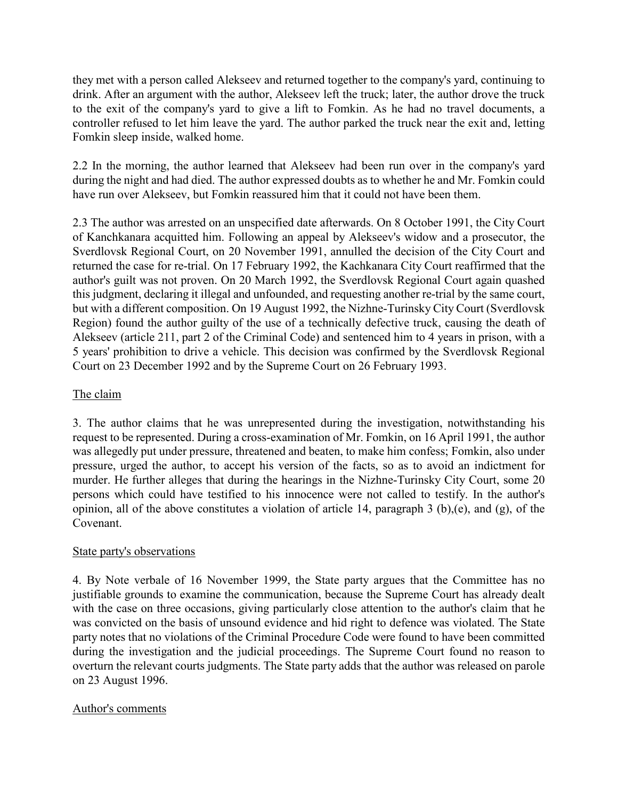they met with a person called Alekseev and returned together to the company's yard, continuing to drink. After an argument with the author, Alekseev left the truck; later, the author drove the truck to the exit of the company's yard to give a lift to Fomkin. As he had no travel documents, a controller refused to let him leave the yard. The author parked the truck near the exit and, letting Fomkin sleep inside, walked home.

2.2 In the morning, the author learned that Alekseev had been run over in the company's yard during the night and had died. The author expressed doubts as to whether he and Mr. Fomkin could have run over Alekseev, but Fomkin reassured him that it could not have been them.

2.3 The author was arrested on an unspecified date afterwards. On 8 October 1991, the City Court of Kanchkanara acquitted him. Following an appeal by Alekseev's widow and a prosecutor, the Sverdlovsk Regional Court, on 20 November 1991, annulled the decision of the City Court and returned the case for re-trial. On 17 February 1992, the Kachkanara City Court reaffirmed that the author's guilt was not proven. On 20 March 1992, the Sverdlovsk Regional Court again quashed this judgment, declaring it illegal and unfounded, and requesting another re-trial by the same court, but with a different composition. On 19 August 1992, the Nizhne-Turinsky City Court (Sverdlovsk Region) found the author guilty of the use of a technically defective truck, causing the death of Alekseev (article 211, part 2 of the Criminal Code) and sentenced him to 4 years in prison, with a 5 years' prohibition to drive a vehicle. This decision was confirmed by the Sverdlovsk Regional Court on 23 December 1992 and by the Supreme Court on 26 February 1993.

# The claim

3. The author claims that he was unrepresented during the investigation, notwithstanding his request to be represented. During a cross-examination of Mr. Fomkin, on 16 April 1991, the author was allegedly put under pressure, threatened and beaten, to make him confess; Fomkin, also under pressure, urged the author, to accept his version of the facts, so as to avoid an indictment for murder. He further alleges that during the hearings in the Nizhne-Turinsky City Court, some 20 persons which could have testified to his innocence were not called to testify. In the author's opinion, all of the above constitutes a violation of article 14, paragraph 3 (b),(e), and (g), of the Covenant.

# State party's observations

4. By Note verbale of 16 November 1999, the State party argues that the Committee has no justifiable grounds to examine the communication, because the Supreme Court has already dealt with the case on three occasions, giving particularly close attention to the author's claim that he was convicted on the basis of unsound evidence and hid right to defence was violated. The State party notes that no violations of the Criminal Procedure Code were found to have been committed during the investigation and the judicial proceedings. The Supreme Court found no reason to overturn the relevant courts judgments. The State party adds that the author was released on parole on 23 August 1996.

# Author's comments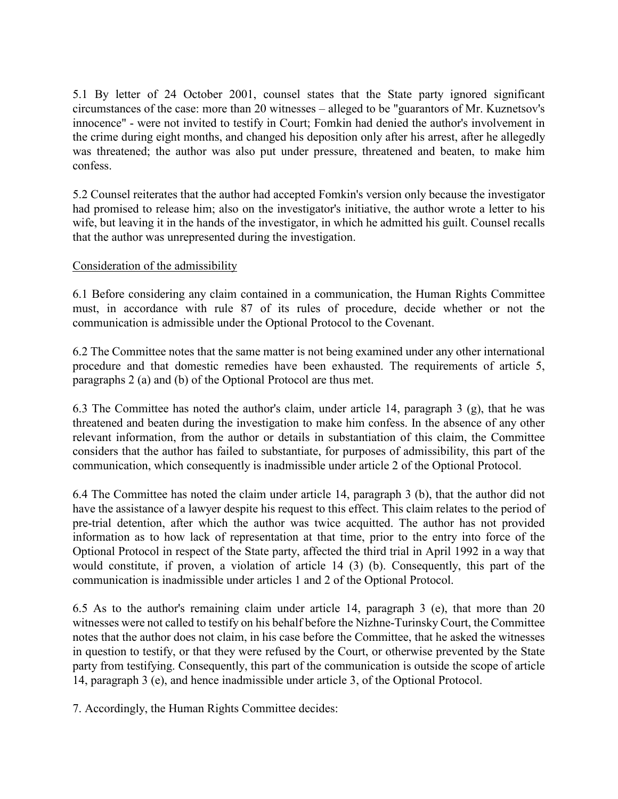5.1 By letter of 24 October 2001, counsel states that the State party ignored significant circumstances of the case: more than 20 witnesses – alleged to be "guarantors of Mr. Kuznetsov's innocence" - were not invited to testify in Court; Fomkin had denied the author's involvement in the crime during eight months, and changed his deposition only after his arrest, after he allegedly was threatened; the author was also put under pressure, threatened and beaten, to make him confess.

5.2 Counsel reiterates that the author had accepted Fomkin's version only because the investigator had promised to release him; also on the investigator's initiative, the author wrote a letter to his wife, but leaving it in the hands of the investigator, in which he admitted his guilt. Counsel recalls that the author was unrepresented during the investigation.

# Consideration of the admissibility

6.1 Before considering any claim contained in a communication, the Human Rights Committee must, in accordance with rule 87 of its rules of procedure, decide whether or not the communication is admissible under the Optional Protocol to the Covenant.

6.2 The Committee notes that the same matter is not being examined under any other international procedure and that domestic remedies have been exhausted. The requirements of article 5, paragraphs 2 (a) and (b) of the Optional Protocol are thus met.

6.3 The Committee has noted the author's claim, under article 14, paragraph 3 (g), that he was threatened and beaten during the investigation to make him confess. In the absence of any other relevant information, from the author or details in substantiation of this claim, the Committee considers that the author has failed to substantiate, for purposes of admissibility, this part of the communication, which consequently is inadmissible under article 2 of the Optional Protocol.

6.4 The Committee has noted the claim under article 14, paragraph 3 (b), that the author did not have the assistance of a lawyer despite his request to this effect. This claim relates to the period of pre-trial detention, after which the author was twice acquitted. The author has not provided information as to how lack of representation at that time, prior to the entry into force of the Optional Protocol in respect of the State party, affected the third trial in April 1992 in a way that would constitute, if proven, a violation of article 14 (3) (b). Consequently, this part of the communication is inadmissible under articles 1 and 2 of the Optional Protocol.

6.5 As to the author's remaining claim under article 14, paragraph 3 (e), that more than 20 witnesses were not called to testify on his behalf before the Nizhne-Turinsky Court, the Committee notes that the author does not claim, in his case before the Committee, that he asked the witnesses in question to testify, or that they were refused by the Court, or otherwise prevented by the State party from testifying. Consequently, this part of the communication is outside the scope of article 14, paragraph 3 (e), and hence inadmissible under article 3, of the Optional Protocol.

7. Accordingly, the Human Rights Committee decides: